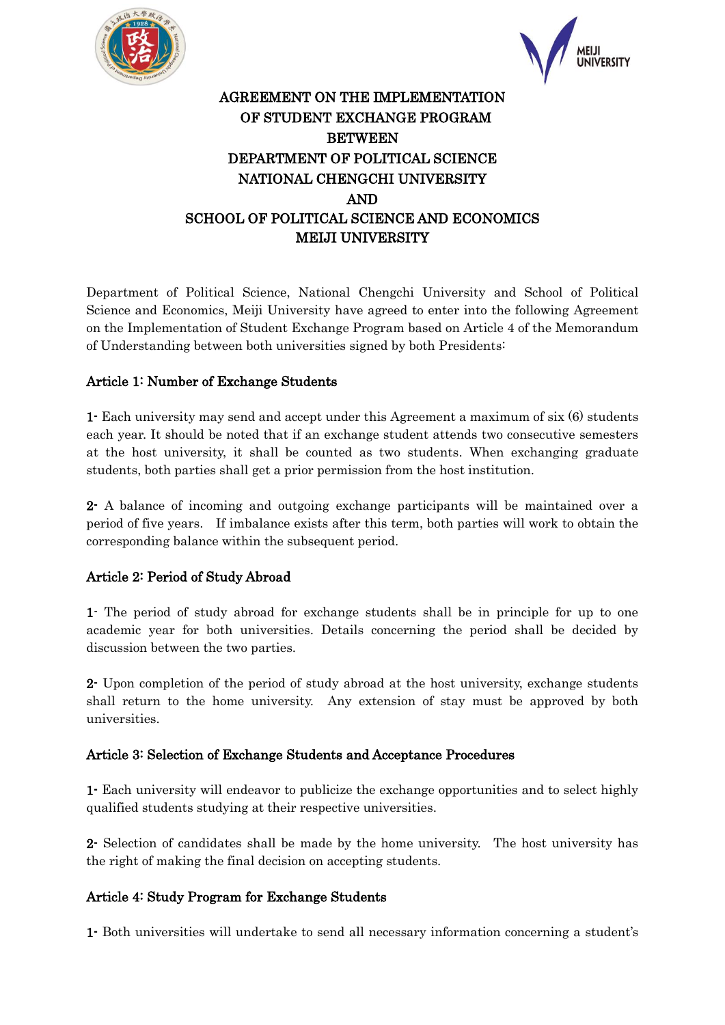



# AGREEMENT ON THE IMPLEMENTATION OF STUDENT EXCHANGE PROGRAM BETWEEN DEPARTMENT OF POLITICAL SCIENCE NATIONAL CHENGCHI UNIVERSITY AND SCHOOL OF POLITICAL SCIENCE AND ECONOMICS MEIJI UNIVERSITY

Department of Political Science, National Chengchi University and School of Political Science and Economics, Meiji University have agreed to enter into the following Agreement on the Implementation of Student Exchange Program based on Article 4 of the Memorandum of Understanding between both universities signed by both Presidents:

# Article 1: Number of Exchange Students

1- Each university may send and accept under this Agreement a maximum of six (6) students each year. It should be noted that if an exchange student attends two consecutive semesters at the host university, it shall be counted as two students. When exchanging graduate students, both parties shall get a prior permission from the host institution.

2- A balance of incoming and outgoing exchange participants will be maintained over a period of five years. If imbalance exists after this term, both parties will work to obtain the corresponding balance within the subsequent period.

# Article 2: Period of Study Abroad

1- The period of study abroad for exchange students shall be in principle for up to one academic year for both universities. Details concerning the period shall be decided by discussion between the two parties.

2- Upon completion of the period of study abroad at the host university, exchange students shall return to the home university. Any extension of stay must be approved by both universities.

### Article 3: Selection of Exchange Students and Acceptance Procedures

1- Each university will endeavor to publicize the exchange opportunities and to select highly qualified students studying at their respective universities.

2- Selection of candidates shall be made by the home university. The host university has the right of making the final decision on accepting students.

# Article 4: Study Program for Exchange Students

1- Both universities will undertake to send all necessary information concerning a student's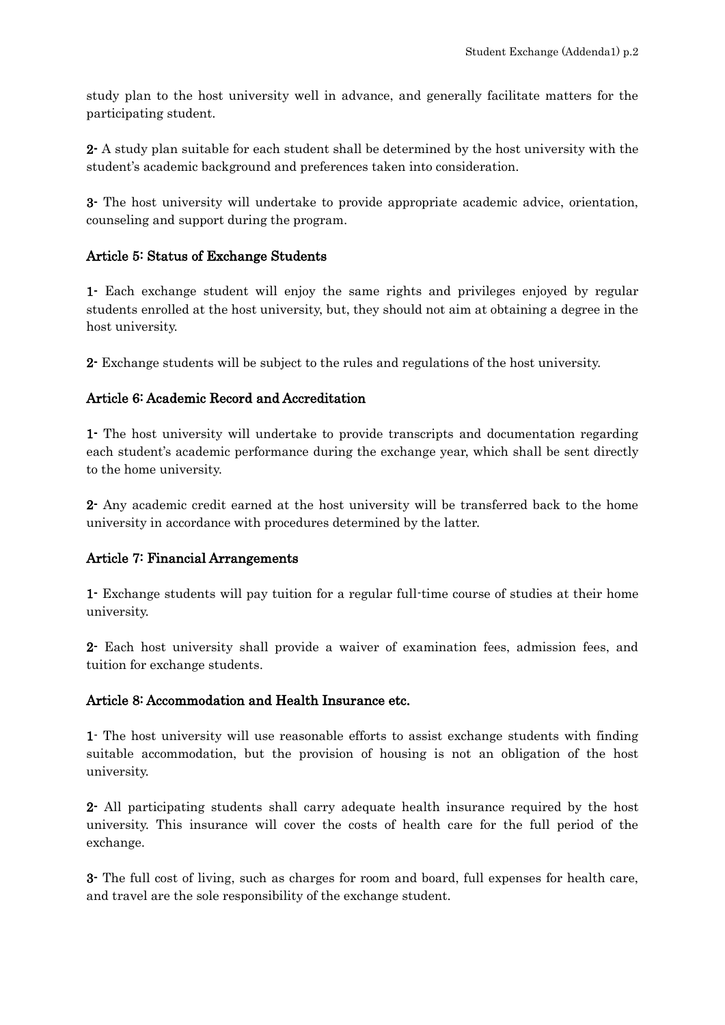study plan to the host university well in advance, and generally facilitate matters for the participating student.

2- A study plan suitable for each student shall be determined by the host university with the student's academic background and preferences taken into consideration.

3- The host university will undertake to provide appropriate academic advice, orientation, counseling and support during the program.

## Article 5: Status of Exchange Students

1- Each exchange student will enjoy the same rights and privileges enjoyed by regular students enrolled at the host university, but, they should not aim at obtaining a degree in the host university.

2- Exchange students will be subject to the rules and regulations of the host university.

## Article 6: Academic Record and Accreditation

1- The host university will undertake to provide transcripts and documentation regarding each student's academic performance during the exchange year, which shall be sent directly to the home university.

2- Any academic credit earned at the host university will be transferred back to the home university in accordance with procedures determined by the latter.

### Article 7: Financial Arrangements

1- Exchange students will pay tuition for a regular full-time course of studies at their home university.

2- Each host university shall provide a waiver of examination fees, admission fees, and tuition for exchange students.

### Article 8: Accommodation and Health Insurance etc.

1- The host university will use reasonable efforts to assist exchange students with finding suitable accommodation, but the provision of housing is not an obligation of the host university.

2- All participating students shall carry adequate health insurance required by the host university. This insurance will cover the costs of health care for the full period of the exchange.

3- The full cost of living, such as charges for room and board, full expenses for health care, and travel are the sole responsibility of the exchange student.